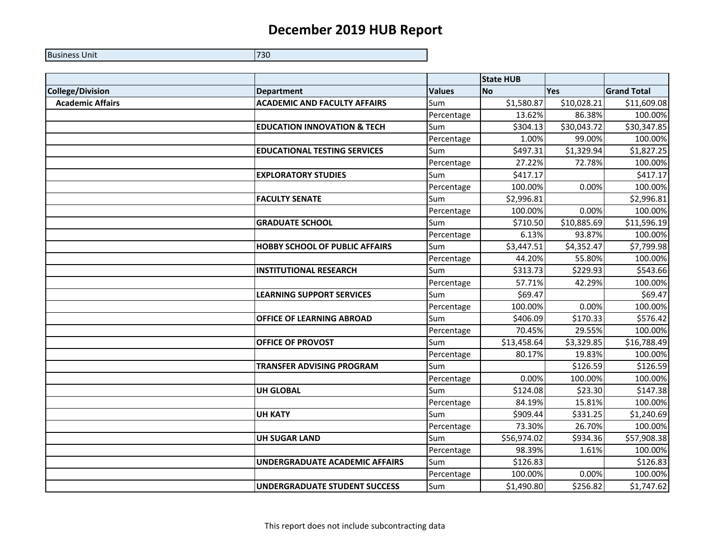## **December 2019 HUB Report**

| <b>Business Unit</b> | 730 |
|----------------------|-----|
|                      |     |

|                         |                                        |               | <b>State HUB</b> |             |                    |
|-------------------------|----------------------------------------|---------------|------------------|-------------|--------------------|
| <b>College/Division</b> | <b>Department</b>                      | <b>Values</b> | <b>No</b>        | <b>Yes</b>  | <b>Grand Total</b> |
| <b>Academic Affairs</b> | <b>ACADEMIC AND FACULTY AFFAIRS</b>    | Sum           | \$1,580.87       | \$10,028.21 | \$11,609.08        |
|                         |                                        | Percentage    | 13.62%           | 86.38%      | 100.00%            |
|                         | <b>EDUCATION INNOVATION &amp; TECH</b> | Sum           | \$304.13         | \$30,043.72 | \$30,347.85        |
|                         |                                        | Percentage    | 1.00%            | 99.00%      | 100.00%            |
|                         | <b>EDUCATIONAL TESTING SERVICES</b>    | Sum           | \$497.31         | \$1,329.94  | \$1,827.25         |
|                         |                                        | Percentage    | 27.22%           | 72.78%      | 100.00%            |
|                         | <b>EXPLORATORY STUDIES</b>             | Sum           | \$417.17         |             | \$417.17           |
|                         |                                        | Percentage    | 100.00%          | 0.00%       | 100.00%            |
|                         | <b>FACULTY SENATE</b>                  | Sum           | \$2,996.81       |             | \$2,996.81         |
|                         |                                        | Percentage    | 100.00%          | 0.00%       | 100.00%            |
|                         | <b>GRADUATE SCHOOL</b>                 | Sum           | \$710.50         | \$10,885.69 | \$11,596.19        |
|                         |                                        | Percentage    | 6.13%            | 93.87%      | 100.00%            |
|                         | <b>HOBBY SCHOOL OF PUBLIC AFFAIRS</b>  | Sum           | \$3,447.51       | \$4,352.47  | \$7,799.98         |
|                         |                                        | Percentage    | 44.20%           | 55.80%      | 100.00%            |
|                         | <b>INSTITUTIONAL RESEARCH</b>          | Sum           | \$313.73         | \$229.93    | \$543.66           |
|                         |                                        | Percentage    | 57.71%           | 42.29%      | 100.00%            |
|                         | <b>LEARNING SUPPORT SERVICES</b>       | Sum           | \$69.47          |             | \$69.47            |
|                         |                                        | Percentage    | 100.00%          | 0.00%       | 100.00%            |
|                         | <b>OFFICE OF LEARNING ABROAD</b>       | Sum           | \$406.09         | \$170.33    | \$576.42           |
|                         |                                        | Percentage    | 70.45%           | 29.55%      | 100.00%            |
|                         | <b>OFFICE OF PROVOST</b>               | Sum           | \$13,458.64      | \$3,329.85  | \$16,788.49        |
|                         |                                        | Percentage    | 80.17%           | 19.83%      | 100.00%            |
|                         | <b>TRANSFER ADVISING PROGRAM</b>       | Sum           |                  | \$126.59    | \$126.59           |
|                         |                                        | Percentage    | 0.00%            | 100.00%     | 100.00%            |
|                         | <b>UH GLOBAL</b>                       | Sum           | \$124.08         | \$23.30     | \$147.38           |
|                         |                                        | Percentage    | 84.19%           | 15.81%      | 100.00%            |
|                         | <b>UH KATY</b>                         | Sum           | \$909.44         | \$331.25    | \$1,240.69         |
|                         |                                        | Percentage    | 73.30%           | 26.70%      | 100.00%            |
|                         | <b>UH SUGAR LAND</b>                   | Sum           | \$56,974.02      | \$934.36    | \$57,908.38        |
|                         |                                        | Percentage    | 98.39%           | 1.61%       | 100.00%            |
|                         | <b>UNDERGRADUATE ACADEMIC AFFAIRS</b>  | Sum           | \$126.83         |             | \$126.83           |
|                         |                                        | Percentage    | 100.00%          | 0.00%       | 100.00%            |
|                         | <b>UNDERGRADUATE STUDENT SUCCESS</b>   | Sum           | \$1,490.80       | \$256.82    | \$1,747.62         |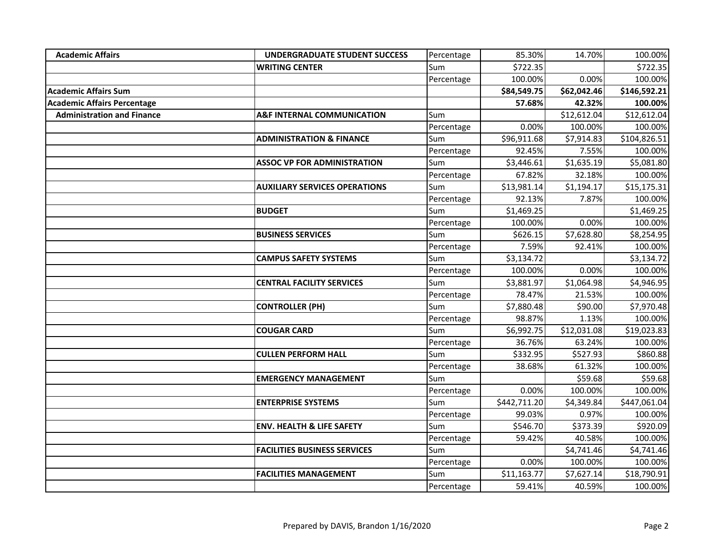| <b>Academic Affairs</b>            | <b>UNDERGRADUATE STUDENT SUCCESS</b>  | Percentage | 85.30%       | 14.70%      | 100.00%      |
|------------------------------------|---------------------------------------|------------|--------------|-------------|--------------|
|                                    | <b>WRITING CENTER</b>                 | Sum        | \$722.35     |             | \$722.35     |
|                                    |                                       | Percentage | 100.00%      | 0.00%       | 100.00%      |
| <b>Academic Affairs Sum</b>        |                                       |            | \$84,549.75  | \$62,042.46 | \$146,592.21 |
| <b>Academic Affairs Percentage</b> |                                       |            | 57.68%       | 42.32%      | 100.00%      |
| <b>Administration and Finance</b>  | <b>A&amp;F INTERNAL COMMUNICATION</b> | Sum        |              | \$12,612.04 | \$12,612.04  |
|                                    |                                       | Percentage | 0.00%        | 100.00%     | 100.00%      |
|                                    | <b>ADMINISTRATION &amp; FINANCE</b>   | Sum        | \$96,911.68  | \$7,914.83  | \$104,826.51 |
|                                    |                                       | Percentage | 92.45%       | 7.55%       | 100.00%      |
|                                    | <b>ASSOC VP FOR ADMINISTRATION</b>    | Sum        | \$3,446.61   | \$1,635.19  | \$5,081.80   |
|                                    |                                       | Percentage | 67.82%       | 32.18%      | 100.00%      |
|                                    | <b>AUXILIARY SERVICES OPERATIONS</b>  | Sum        | \$13,981.14  | \$1,194.17  | \$15,175.31  |
|                                    |                                       | Percentage | 92.13%       | 7.87%       | 100.00%      |
|                                    | <b>BUDGET</b>                         | Sum        | \$1,469.25   |             | \$1,469.25   |
|                                    |                                       | Percentage | 100.00%      | 0.00%       | 100.00%      |
|                                    | <b>BUSINESS SERVICES</b>              | Sum        | \$626.15     | \$7,628.80  | \$8,254.95   |
|                                    |                                       | Percentage | 7.59%        | 92.41%      | 100.00%      |
|                                    | <b>CAMPUS SAFETY SYSTEMS</b>          | Sum        | \$3,134.72   |             | \$3,134.72   |
|                                    |                                       | Percentage | 100.00%      | 0.00%       | 100.00%      |
|                                    | <b>CENTRAL FACILITY SERVICES</b>      | Sum        | \$3,881.97   | \$1,064.98  | \$4,946.95   |
|                                    |                                       | Percentage | 78.47%       | 21.53%      | 100.00%      |
|                                    | <b>CONTROLLER (PH)</b>                | Sum        | \$7,880.48   | \$90.00     | \$7,970.48   |
|                                    |                                       | Percentage | 98.87%       | 1.13%       | 100.00%      |
|                                    | <b>COUGAR CARD</b>                    | Sum        | \$6,992.75   | \$12,031.08 | \$19,023.83  |
|                                    |                                       | Percentage | 36.76%       | 63.24%      | 100.00%      |
|                                    | <b>CULLEN PERFORM HALL</b>            | Sum        | \$332.95     | \$527.93    | \$860.88     |
|                                    |                                       | Percentage | 38.68%       | 61.32%      | 100.00%      |
|                                    | <b>EMERGENCY MANAGEMENT</b>           | Sum        |              | \$59.68     | \$59.68      |
|                                    |                                       | Percentage | 0.00%        | 100.00%     | 100.00%      |
|                                    | <b>ENTERPRISE SYSTEMS</b>             | Sum        | \$442,711.20 | \$4,349.84  | \$447,061.04 |
|                                    |                                       | Percentage | 99.03%       | 0.97%       | 100.00%      |
|                                    | <b>ENV. HEALTH &amp; LIFE SAFETY</b>  | Sum        | \$546.70     | \$373.39    | \$920.09     |
|                                    |                                       | Percentage | 59.42%       | 40.58%      | 100.00%      |
|                                    | <b>FACILITIES BUSINESS SERVICES</b>   | Sum        |              | \$4,741.46  | \$4,741.46   |
|                                    |                                       | Percentage | 0.00%        | 100.00%     | 100.00%      |
|                                    | <b>FACILITIES MANAGEMENT</b>          | Sum        | \$11,163.77  | \$7,627.14  | \$18,790.91  |
|                                    |                                       | Percentage | 59.41%       | 40.59%      | 100.00%      |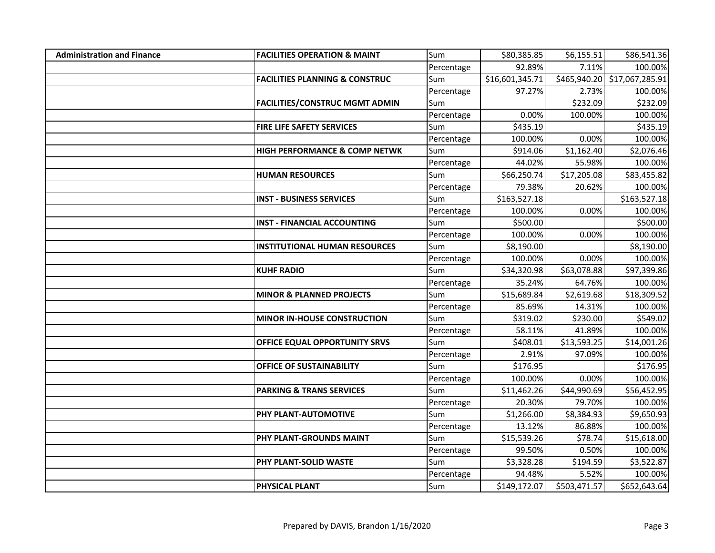| <b>Administration and Finance</b> | <b>FACILITIES OPERATION &amp; MAINT</b>   | Sum        | \$80,385.85     | \$6,155.51   | \$86,541.36                  |
|-----------------------------------|-------------------------------------------|------------|-----------------|--------------|------------------------------|
|                                   |                                           | Percentage | 92.89%          | 7.11%        | 100.00%                      |
|                                   | <b>FACILITIES PLANNING &amp; CONSTRUC</b> | Sum        | \$16,601,345.71 |              | \$465,940.20 \$17,067,285.91 |
|                                   |                                           | Percentage | 97.27%          | 2.73%        | 100.00%                      |
|                                   | <b>FACILITIES/CONSTRUC MGMT ADMIN</b>     | Sum        |                 | \$232.09     | \$232.09                     |
|                                   |                                           | Percentage | 0.00%           | 100.00%      | 100.00%                      |
|                                   | FIRE LIFE SAFETY SERVICES                 | Sum        | \$435.19        |              | \$435.19                     |
|                                   |                                           | Percentage | 100.00%         | 0.00%        | 100.00%                      |
|                                   | HIGH PERFORMANCE & COMP NETWK             | Sum        | \$914.06        | \$1,162.40   | \$2,076.46                   |
|                                   |                                           | Percentage | 44.02%          | 55.98%       | 100.00%                      |
|                                   | <b>HUMAN RESOURCES</b>                    | Sum        | \$66,250.74     | \$17,205.08  | \$83,455.82                  |
|                                   |                                           | Percentage | 79.38%          | 20.62%       | 100.00%                      |
|                                   | <b>INST - BUSINESS SERVICES</b>           | Sum        | \$163,527.18    |              | \$163,527.18                 |
|                                   |                                           | Percentage | 100.00%         | 0.00%        | 100.00%                      |
|                                   | <b>INST - FINANCIAL ACCOUNTING</b>        | Sum        | \$500.00        |              | \$500.00                     |
|                                   |                                           | Percentage | 100.00%         | 0.00%        | 100.00%                      |
|                                   | <b>INSTITUTIONAL HUMAN RESOURCES</b>      | Sum        | \$8,190.00      |              | \$8,190.00                   |
|                                   |                                           | Percentage | 100.00%         | 0.00%        | 100.00%                      |
|                                   | <b>KUHF RADIO</b>                         | Sum        | \$34,320.98     | \$63,078.88  | \$97,399.86                  |
|                                   |                                           | Percentage | 35.24%          | 64.76%       | 100.00%                      |
|                                   | <b>MINOR &amp; PLANNED PROJECTS</b>       | Sum        | \$15,689.84     | \$2,619.68   | \$18,309.52                  |
|                                   |                                           | Percentage | 85.69%          | 14.31%       | 100.00%                      |
|                                   | <b>MINOR IN-HOUSE CONSTRUCTION</b>        | Sum        | \$319.02        | \$230.00     | \$549.02                     |
|                                   |                                           | Percentage | 58.11%          | 41.89%       | 100.00%                      |
|                                   | OFFICE EQUAL OPPORTUNITY SRVS             | Sum        | \$408.01        | \$13,593.25  | \$14,001.26                  |
|                                   |                                           | Percentage | 2.91%           | 97.09%       | 100.00%                      |
|                                   | <b>OFFICE OF SUSTAINABILITY</b>           | Sum        | \$176.95        |              | \$176.95                     |
|                                   |                                           | Percentage | 100.00%         | 0.00%        | 100.00%                      |
|                                   | <b>PARKING &amp; TRANS SERVICES</b>       | Sum        | \$11,462.26     | \$44,990.69  | \$56,452.95                  |
|                                   |                                           | Percentage | 20.30%          | 79.70%       | 100.00%                      |
|                                   | PHY PLANT-AUTOMOTIVE                      | Sum        | \$1,266.00      | \$8,384.93   | \$9,650.93                   |
|                                   |                                           | Percentage | 13.12%          | 86.88%       | 100.00%                      |
|                                   | PHY PLANT-GROUNDS MAINT                   | Sum        | \$15,539.26     | \$78.74      | \$15,618.00                  |
|                                   |                                           | Percentage | 99.50%          | 0.50%        | 100.00%                      |
|                                   | PHY PLANT-SOLID WASTE                     | Sum        | \$3,328.28      | \$194.59     | \$3,522.87                   |
|                                   |                                           | Percentage | 94.48%          | 5.52%        | 100.00%                      |
|                                   | PHYSICAL PLANT                            | Sum        | \$149,172.07    | \$503,471.57 | \$652,643.64                 |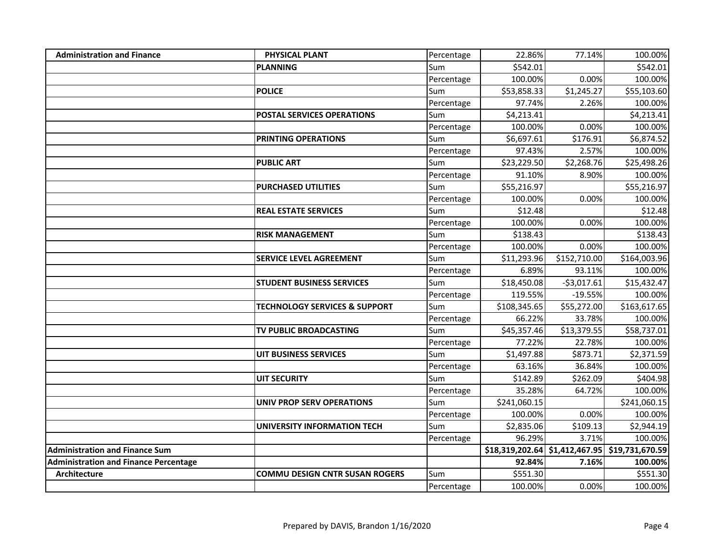| <b>Administration and Finance</b>            | <b>PHYSICAL PLANT</b>                    | Percentage | 22.86%       | 77.14%       | 100.00%                                        |
|----------------------------------------------|------------------------------------------|------------|--------------|--------------|------------------------------------------------|
|                                              | <b>PLANNING</b>                          | Sum        | \$542.01     |              | \$542.01                                       |
|                                              |                                          | Percentage | 100.00%      | 0.00%        | 100.00%                                        |
|                                              | <b>POLICE</b>                            | Sum        | \$53,858.33  | \$1,245.27   | \$55,103.60                                    |
|                                              |                                          | Percentage | 97.74%       | 2.26%        | 100.00%                                        |
|                                              | POSTAL SERVICES OPERATIONS               | Sum        | \$4,213.41   |              | \$4,213.41                                     |
|                                              |                                          | Percentage | 100.00%      | 0.00%        | 100.00%                                        |
|                                              | PRINTING OPERATIONS                      | Sum        | \$6,697.61   | \$176.91     | \$6,874.52                                     |
|                                              |                                          | Percentage | 97.43%       | 2.57%        | 100.00%                                        |
|                                              | <b>PUBLIC ART</b>                        | Sum        | \$23,229.50  | \$2,268.76   | \$25,498.26                                    |
|                                              |                                          | Percentage | 91.10%       | 8.90%        | 100.00%                                        |
|                                              | <b>PURCHASED UTILITIES</b>               | Sum        | \$55,216.97  |              | \$55,216.97                                    |
|                                              |                                          | Percentage | 100.00%      | 0.00%        | 100.00%                                        |
|                                              | <b>REAL ESTATE SERVICES</b>              | Sum        | \$12.48      |              | \$12.48                                        |
|                                              |                                          | Percentage | 100.00%      | 0.00%        | 100.00%                                        |
|                                              | <b>RISK MANAGEMENT</b>                   | Sum        | \$138.43     |              | \$138.43                                       |
|                                              |                                          | Percentage | 100.00%      | 0.00%        | 100.00%                                        |
|                                              | <b>SERVICE LEVEL AGREEMENT</b>           | Sum        | \$11,293.96  | \$152,710.00 | \$164,003.96                                   |
|                                              |                                          | Percentage | 6.89%        | 93.11%       | 100.00%                                        |
|                                              | <b>STUDENT BUSINESS SERVICES</b>         | Sum        | \$18,450.08  | $-53,017.61$ | \$15,432.47                                    |
|                                              |                                          | Percentage | 119.55%      | $-19.55%$    | 100.00%                                        |
|                                              | <b>TECHNOLOGY SERVICES &amp; SUPPORT</b> | Sum        | \$108,345.65 | \$55,272.00  | \$163,617.65                                   |
|                                              |                                          | Percentage | 66.22%       | 33.78%       | 100.00%                                        |
|                                              | TV PUBLIC BROADCASTING                   | Sum        | \$45,357.46  | \$13,379.55  | \$58,737.01                                    |
|                                              |                                          | Percentage | 77.22%       | 22.78%       | 100.00%                                        |
|                                              | <b>UIT BUSINESS SERVICES</b>             | Sum        | \$1,497.88   | \$873.71     | \$2,371.59                                     |
|                                              |                                          | Percentage | 63.16%       | 36.84%       | 100.00%                                        |
|                                              | <b>UIT SECURITY</b>                      | Sum        | \$142.89     | \$262.09     | \$404.98                                       |
|                                              |                                          | Percentage | 35.28%       | 64.72%       | 100.00%                                        |
|                                              | <b>UNIV PROP SERV OPERATIONS</b>         | Sum        | \$241,060.15 |              | \$241,060.15                                   |
|                                              |                                          | Percentage | 100.00%      | 0.00%        | 100.00%                                        |
|                                              | UNIVERSITY INFORMATION TECH              | Sum        | \$2,835.06   | \$109.13     | \$2,944.19                                     |
|                                              |                                          | Percentage | 96.29%       | 3.71%        | 100.00%                                        |
| <b>Administration and Finance Sum</b>        |                                          |            |              |              | \$18,319,202.64 \$1,412,467.95 \$19,731,670.59 |
| <b>Administration and Finance Percentage</b> |                                          |            | 92.84%       | 7.16%        | 100.00%                                        |
| <b>Architecture</b>                          | <b>COMMU DESIGN CNTR SUSAN ROGERS</b>    | Sum        | \$551.30     |              | \$551.30                                       |
|                                              |                                          | Percentage | 100.00%      | 0.00%        | 100.00%                                        |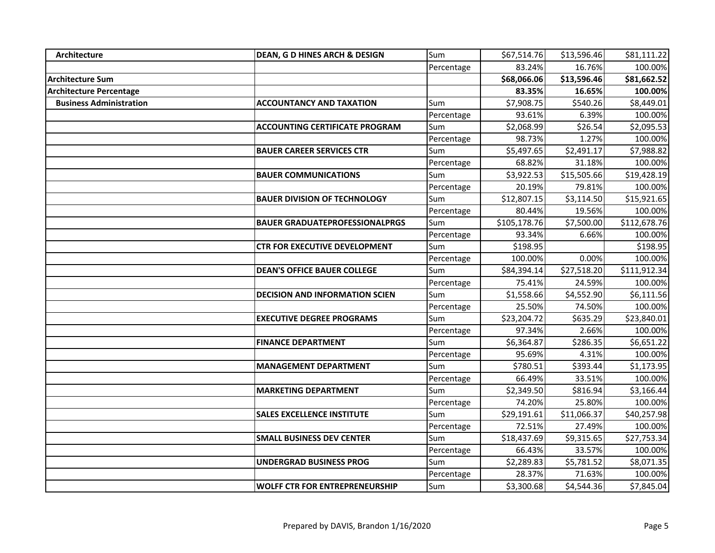| Architecture                   | <b>DEAN, G D HINES ARCH &amp; DESIGN</b> | Sum        | \$67,514.76  | \$13,596.46 | \$81,111.22  |
|--------------------------------|------------------------------------------|------------|--------------|-------------|--------------|
|                                |                                          | Percentage | 83.24%       | 16.76%      | 100.00%      |
| <b>Architecture Sum</b>        |                                          |            | \$68,066.06  | \$13,596.46 | \$81,662.52  |
| <b>Architecture Percentage</b> |                                          |            | 83.35%       | 16.65%      | 100.00%      |
| <b>Business Administration</b> | <b>ACCOUNTANCY AND TAXATION</b>          | Sum        | \$7,908.75   | \$540.26    | \$8,449.01   |
|                                |                                          | Percentage | 93.61%       | 6.39%       | 100.00%      |
|                                | <b>ACCOUNTING CERTIFICATE PROGRAM</b>    | Sum        | \$2,068.99   | \$26.54     | \$2,095.53   |
|                                |                                          | Percentage | 98.73%       | 1.27%       | 100.00%      |
|                                | <b>BAUER CAREER SERVICES CTR</b>         | Sum        | \$5,497.65   | \$2,491.17  | \$7,988.82   |
|                                |                                          | Percentage | 68.82%       | 31.18%      | 100.00%      |
|                                | <b>BAUER COMMUNICATIONS</b>              | Sum        | \$3,922.53   | \$15,505.66 | \$19,428.19  |
|                                |                                          | Percentage | 20.19%       | 79.81%      | 100.00%      |
|                                | <b>BAUER DIVISION OF TECHNOLOGY</b>      | Sum        | \$12,807.15  | \$3,114.50  | \$15,921.65  |
|                                |                                          | Percentage | 80.44%       | 19.56%      | 100.00%      |
|                                | <b>BAUER GRADUATEPROFESSIONALPRGS</b>    | Sum        | \$105,178.76 | \$7,500.00  | \$112,678.76 |
|                                |                                          | Percentage | 93.34%       | 6.66%       | 100.00%      |
|                                | <b>CTR FOR EXECUTIVE DEVELOPMENT</b>     | Sum        | \$198.95     |             | \$198.95     |
|                                |                                          | Percentage | 100.00%      | 0.00%       | 100.00%      |
|                                | <b>DEAN'S OFFICE BAUER COLLEGE</b>       | Sum        | \$84,394.14  | \$27,518.20 | \$111,912.34 |
|                                |                                          | Percentage | 75.41%       | 24.59%      | 100.00%      |
|                                | <b>DECISION AND INFORMATION SCIEN</b>    | Sum        | \$1,558.66   | \$4,552.90  | \$6,111.56   |
|                                |                                          | Percentage | 25.50%       | 74.50%      | 100.00%      |
|                                | <b>EXECUTIVE DEGREE PROGRAMS</b>         | Sum        | \$23,204.72  | \$635.29    | \$23,840.01  |
|                                |                                          | Percentage | 97.34%       | 2.66%       | 100.00%      |
|                                | <b>FINANCE DEPARTMENT</b>                | Sum        | \$6,364.87   | \$286.35    | \$6,651.22   |
|                                |                                          | Percentage | 95.69%       | 4.31%       | 100.00%      |
|                                | <b>MANAGEMENT DEPARTMENT</b>             | Sum        | \$780.51     | \$393.44    | \$1,173.95   |
|                                |                                          | Percentage | 66.49%       | 33.51%      | 100.00%      |
|                                | <b>MARKETING DEPARTMENT</b>              | Sum        | \$2,349.50   | \$816.94    | \$3,166.44   |
|                                |                                          | Percentage | 74.20%       | 25.80%      | 100.00%      |
|                                | <b>SALES EXCELLENCE INSTITUTE</b>        | Sum        | \$29,191.61  | \$11,066.37 | \$40,257.98  |
|                                |                                          | Percentage | 72.51%       | 27.49%      | 100.00%      |
|                                | <b>SMALL BUSINESS DEV CENTER</b>         | Sum        | \$18,437.69  | \$9,315.65  | \$27,753.34  |
|                                |                                          | Percentage | 66.43%       | 33.57%      | 100.00%      |
|                                | <b>UNDERGRAD BUSINESS PROG</b>           | Sum        | \$2,289.83   | \$5,781.52  | \$8,071.35   |
|                                |                                          | Percentage | 28.37%       | 71.63%      | 100.00%      |
|                                | <b>WOLFF CTR FOR ENTREPRENEURSHIP</b>    | Sum        | \$3,300.68   | \$4,544.36  | \$7,845.04   |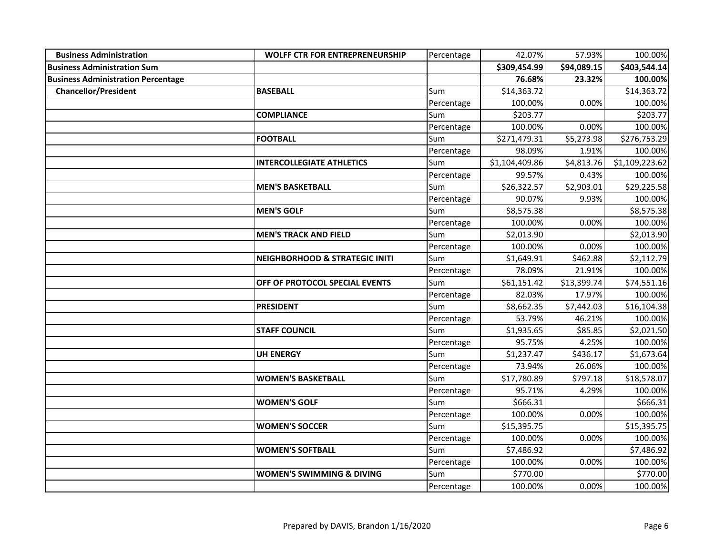| <b>Business Administration</b>            | <b>WOLFF CTR FOR ENTREPRENEURSHIP</b>     | Percentage | 42.07%         | 57.93%      | 100.00%        |
|-------------------------------------------|-------------------------------------------|------------|----------------|-------------|----------------|
| <b>Business Administration Sum</b>        |                                           |            | \$309,454.99   | \$94,089.15 | \$403,544.14   |
| <b>Business Administration Percentage</b> |                                           |            | 76.68%         | 23.32%      | 100.00%        |
| <b>Chancellor/President</b>               | <b>BASEBALL</b>                           | Sum        | \$14,363.72    |             | \$14,363.72    |
|                                           |                                           | Percentage | 100.00%        | 0.00%       | 100.00%        |
|                                           | <b>COMPLIANCE</b>                         | Sum        | \$203.77       |             | \$203.77       |
|                                           |                                           | Percentage | 100.00%        | 0.00%       | 100.00%        |
|                                           | <b>FOOTBALL</b>                           | Sum        | \$271,479.31   | \$5,273.98  | \$276,753.29   |
|                                           |                                           | Percentage | 98.09%         | 1.91%       | 100.00%        |
|                                           | <b>INTERCOLLEGIATE ATHLETICS</b>          | Sum        | \$1,104,409.86 | \$4,813.76  | \$1,109,223.62 |
|                                           |                                           | Percentage | 99.57%         | 0.43%       | 100.00%        |
|                                           | <b>MEN'S BASKETBALL</b>                   | Sum        | \$26,322.57    | \$2,903.01  | \$29,225.58    |
|                                           |                                           | Percentage | 90.07%         | 9.93%       | 100.00%        |
|                                           | <b>MEN'S GOLF</b>                         | Sum        | \$8,575.38     |             | \$8,575.38     |
|                                           |                                           | Percentage | 100.00%        | 0.00%       | 100.00%        |
|                                           | <b>MEN'S TRACK AND FIELD</b>              | Sum        | \$2,013.90     |             | \$2,013.90     |
|                                           |                                           | Percentage | 100.00%        | 0.00%       | 100.00%        |
|                                           | <b>NEIGHBORHOOD &amp; STRATEGIC INITI</b> | Sum        | \$1,649.91     | \$462.88    | \$2,112.79     |
|                                           |                                           | Percentage | 78.09%         | 21.91%      | 100.00%        |
|                                           | OFF OF PROTOCOL SPECIAL EVENTS            | Sum        | \$61,151.42    | \$13,399.74 | \$74,551.16    |
|                                           |                                           | Percentage | 82.03%         | 17.97%      | 100.00%        |
|                                           | <b>PRESIDENT</b>                          | Sum        | \$8,662.35     | \$7,442.03  | \$16,104.38    |
|                                           |                                           | Percentage | 53.79%         | 46.21%      | 100.00%        |
|                                           | <b>STAFF COUNCIL</b>                      | Sum        | \$1,935.65     | \$85.85     | \$2,021.50     |
|                                           |                                           | Percentage | 95.75%         | 4.25%       | 100.00%        |
|                                           | <b>UH ENERGY</b>                          | Sum        | \$1,237.47     | \$436.17    | \$1,673.64     |
|                                           |                                           | Percentage | 73.94%         | 26.06%      | 100.00%        |
|                                           | <b>WOMEN'S BASKETBALL</b>                 | Sum        | \$17,780.89    | \$797.18    | \$18,578.07    |
|                                           |                                           | Percentage | 95.71%         | 4.29%       | 100.00%        |
|                                           | <b>WOMEN'S GOLF</b>                       | Sum        | \$666.31       |             | \$666.31       |
|                                           |                                           | Percentage | 100.00%        | 0.00%       | 100.00%        |
|                                           | <b>WOMEN'S SOCCER</b>                     | Sum        | \$15,395.75    |             | \$15,395.75    |
|                                           |                                           | Percentage | 100.00%        | 0.00%       | 100.00%        |
|                                           | <b>WOMEN'S SOFTBALL</b>                   | Sum        | \$7,486.92     |             | \$7,486.92     |
|                                           |                                           | Percentage | 100.00%        | 0.00%       | 100.00%        |
|                                           | <b>WOMEN'S SWIMMING &amp; DIVING</b>      | Sum        | \$770.00       |             | \$770.00       |
|                                           |                                           | Percentage | 100.00%        | 0.00%       | 100.00%        |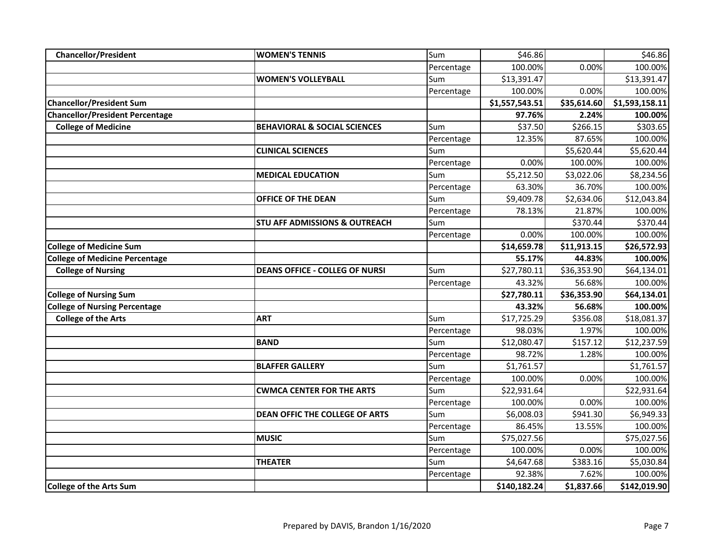| <b>Chancellor/President</b>            | <b>WOMEN'S TENNIS</b>                    | Sum        | \$46.86        |             | \$46.86        |
|----------------------------------------|------------------------------------------|------------|----------------|-------------|----------------|
|                                        |                                          | Percentage | 100.00%        | 0.00%       | 100.00%        |
|                                        | <b>WOMEN'S VOLLEYBALL</b>                | Sum        | \$13,391.47    |             | \$13,391.47    |
|                                        |                                          | Percentage | 100.00%        | 0.00%       | 100.00%        |
| <b>Chancellor/President Sum</b>        |                                          |            | \$1,557,543.51 | \$35,614.60 | \$1,593,158.11 |
| <b>Chancellor/President Percentage</b> |                                          |            | 97.76%         | 2.24%       | 100.00%        |
| <b>College of Medicine</b>             | <b>BEHAVIORAL &amp; SOCIAL SCIENCES</b>  | Sum        | \$37.50        | \$266.15    | \$303.65       |
|                                        |                                          | Percentage | 12.35%         | 87.65%      | 100.00%        |
|                                        | <b>CLINICAL SCIENCES</b>                 | Sum        |                | \$5,620.44  | \$5,620.44     |
|                                        |                                          | Percentage | 0.00%          | 100.00%     | 100.00%        |
|                                        | <b>MEDICAL EDUCATION</b>                 | Sum        | \$5,212.50     | \$3,022.06  | \$8,234.56     |
|                                        |                                          | Percentage | 63.30%         | 36.70%      | 100.00%        |
|                                        | OFFICE OF THE DEAN                       | Sum        | \$9,409.78     | \$2,634.06  | \$12,043.84    |
|                                        |                                          | Percentage | 78.13%         | 21.87%      | 100.00%        |
|                                        | <b>STU AFF ADMISSIONS &amp; OUTREACH</b> | Sum        |                | \$370.44    | \$370.44       |
|                                        |                                          | Percentage | 0.00%          | 100.00%     | 100.00%        |
| <b>College of Medicine Sum</b>         |                                          |            | \$14,659.78    | \$11,913.15 | \$26,572.93    |
| <b>College of Medicine Percentage</b>  |                                          |            | 55.17%         | 44.83%      | 100.00%        |
| <b>College of Nursing</b>              | <b>DEANS OFFICE - COLLEG OF NURSI</b>    | Sum        | \$27,780.11    | \$36,353.90 | \$64,134.01    |
|                                        |                                          | Percentage | 43.32%         | 56.68%      | 100.00%        |
| <b>College of Nursing Sum</b>          |                                          |            | \$27,780.11    | \$36,353.90 | \$64,134.01    |
| <b>College of Nursing Percentage</b>   |                                          |            | 43.32%         | 56.68%      | 100.00%        |
| <b>College of the Arts</b>             | <b>ART</b>                               | Sum        | \$17,725.29    | \$356.08    | \$18,081.37    |
|                                        |                                          | Percentage | 98.03%         | 1.97%       | 100.00%        |
|                                        | <b>BAND</b>                              | Sum        | \$12,080.47    | \$157.12    | \$12,237.59    |
|                                        |                                          | Percentage | 98.72%         | 1.28%       | 100.00%        |
|                                        | <b>BLAFFER GALLERY</b>                   | Sum        | \$1,761.57     |             | \$1,761.57     |
|                                        |                                          | Percentage | 100.00%        | 0.00%       | 100.00%        |
|                                        | <b>CWMCA CENTER FOR THE ARTS</b>         | Sum        | \$22,931.64    |             | \$22,931.64    |
|                                        |                                          | Percentage | 100.00%        | 0.00%       | 100.00%        |
|                                        | <b>DEAN OFFIC THE COLLEGE OF ARTS</b>    | Sum        | \$6,008.03     | \$941.30    | \$6,949.33     |
|                                        |                                          | Percentage | 86.45%         | 13.55%      | 100.00%        |
|                                        | <b>MUSIC</b>                             | Sum        | \$75,027.56    |             | \$75,027.56    |
|                                        |                                          | Percentage | 100.00%        | 0.00%       | 100.00%        |
|                                        | <b>THEATER</b>                           | Sum        | \$4,647.68     | \$383.16    | \$5,030.84     |
|                                        |                                          | Percentage | 92.38%         | 7.62%       | 100.00%        |
| <b>College of the Arts Sum</b>         |                                          |            | \$140,182.24   | \$1,837.66  | \$142,019.90   |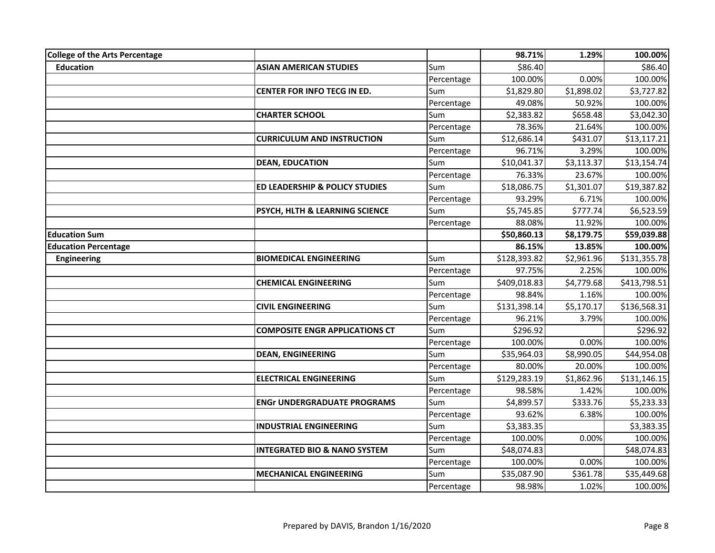| College of the Arts Percentage |                                         |            | 98.71%       | 1.29%      | 100.00%      |
|--------------------------------|-----------------------------------------|------------|--------------|------------|--------------|
| <b>Education</b>               | <b>ASIAN AMERICAN STUDIES</b>           | Sum        | \$86.40      |            | \$86.40      |
|                                |                                         | Percentage | 100.00%      | 0.00%      | 100.00%      |
|                                | CENTER FOR INFO TECG IN ED.             | Sum        | \$1,829.80   | \$1,898.02 | \$3,727.82   |
|                                |                                         | Percentage | 49.08%       | 50.92%     | 100.00%      |
|                                | <b>CHARTER SCHOOL</b>                   | Sum        | \$2,383.82   | \$658.48   | \$3,042.30   |
|                                |                                         | Percentage | 78.36%       | 21.64%     | 100.00%      |
|                                | <b>CURRICULUM AND INSTRUCTION</b>       | Sum        | \$12,686.14  | \$431.07   | \$13,117.21  |
|                                |                                         | Percentage | 96.71%       | 3.29%      | 100.00%      |
|                                | <b>DEAN, EDUCATION</b>                  | Sum        | \$10,041.37  | \$3,113.37 | \$13,154.74  |
|                                |                                         | Percentage | 76.33%       | 23.67%     | 100.00%      |
|                                | ED LEADERSHIP & POLICY STUDIES          | Sum        | \$18,086.75  | \$1,301.07 | \$19,387.82  |
|                                |                                         | Percentage | 93.29%       | 6.71%      | 100.00%      |
|                                | PSYCH, HLTH & LEARNING SCIENCE          | Sum        | \$5,745.85   | \$777.74   | \$6,523.59   |
|                                |                                         | Percentage | 88.08%       | 11.92%     | 100.00%      |
| <b>Education Sum</b>           |                                         |            | \$50,860.13  | \$8,179.75 | \$59,039.88  |
| <b>Education Percentage</b>    |                                         |            | 86.15%       | 13.85%     | 100.00%      |
| <b>Engineering</b>             | <b>BIOMEDICAL ENGINEERING</b>           | Sum        | \$128,393.82 | \$2,961.96 | \$131,355.78 |
|                                |                                         | Percentage | 97.75%       | 2.25%      | 100.00%      |
|                                | <b>CHEMICAL ENGINEERING</b>             | Sum        | \$409,018.83 | \$4,779.68 | \$413,798.51 |
|                                |                                         | Percentage | 98.84%       | 1.16%      | 100.00%      |
|                                | <b>CIVIL ENGINEERING</b>                | Sum        | \$131,398.14 | \$5,170.17 | \$136,568.31 |
|                                |                                         | Percentage | 96.21%       | 3.79%      | 100.00%      |
|                                | <b>COMPOSITE ENGR APPLICATIONS CT</b>   | Sum        | \$296.92     |            | \$296.92     |
|                                |                                         | Percentage | 100.00%      | 0.00%      | 100.00%      |
|                                | <b>DEAN, ENGINEERING</b>                | Sum        | \$35,964.03  | \$8,990.05 | \$44,954.08  |
|                                |                                         | Percentage | 80.00%       | 20.00%     | 100.00%      |
|                                | <b>ELECTRICAL ENGINEERING</b>           | Sum        | \$129,283.19 | \$1,862.96 | \$131,146.15 |
|                                |                                         | Percentage | 98.58%       | 1.42%      | 100.00%      |
|                                | <b>ENGr UNDERGRADUATE PROGRAMS</b>      | Sum        | \$4,899.57   | \$333.76   | \$5,233.33   |
|                                |                                         | Percentage | 93.62%       | 6.38%      | 100.00%      |
|                                | <b>INDUSTRIAL ENGINEERING</b>           | Sum        | \$3,383.35   |            | \$3,383.35   |
|                                |                                         | Percentage | 100.00%      | 0.00%      | 100.00%      |
|                                | <b>INTEGRATED BIO &amp; NANO SYSTEM</b> | Sum        | \$48,074.83  |            | \$48,074.83  |
|                                |                                         | Percentage | 100.00%      | 0.00%      | 100.00%      |
|                                | <b>MECHANICAL ENGINEERING</b>           | Sum        | \$35,087.90  | \$361.78   | \$35,449.68  |
|                                |                                         | Percentage | 98.98%       | 1.02%      | 100.00%      |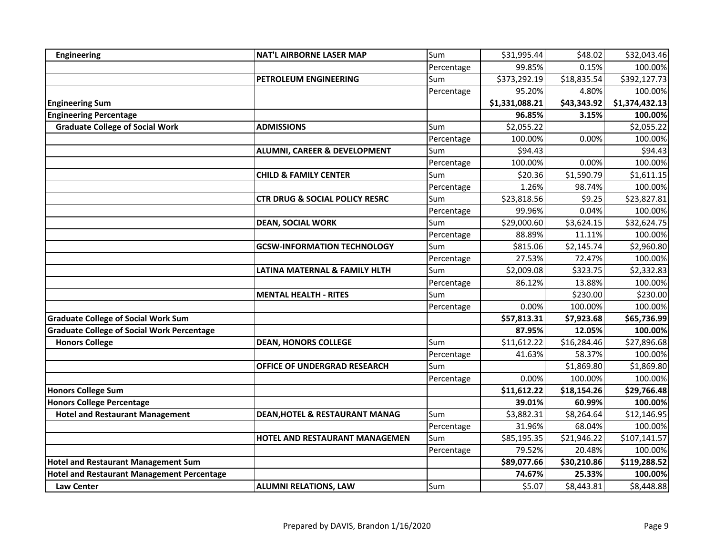| Engineering                                       | <b>NAT'L AIRBORNE LASER MAP</b>           | Sum        | \$31,995.44    | \$48.02     | \$32,043.46    |
|---------------------------------------------------|-------------------------------------------|------------|----------------|-------------|----------------|
|                                                   |                                           | Percentage | 99.85%         | 0.15%       | 100.00%        |
|                                                   | PETROLEUM ENGINEERING                     | Sum        | \$373,292.19   | \$18,835.54 | \$392,127.73   |
|                                                   |                                           | Percentage | 95.20%         | 4.80%       | 100.00%        |
| <b>Engineering Sum</b>                            |                                           |            | \$1,331,088.21 | \$43,343.92 | \$1,374,432.13 |
| <b>Engineering Percentage</b>                     |                                           |            | 96.85%         | 3.15%       | 100.00%        |
| <b>Graduate College of Social Work</b>            | <b>ADMISSIONS</b>                         | Sum        | \$2,055.22     |             | \$2,055.22     |
|                                                   |                                           | Percentage | 100.00%        | 0.00%       | 100.00%        |
|                                                   | <b>ALUMNI, CAREER &amp; DEVELOPMENT</b>   | Sum        | \$94.43        |             | \$94.43        |
|                                                   |                                           | Percentage | 100.00%        | 0.00%       | 100.00%        |
|                                                   | <b>CHILD &amp; FAMILY CENTER</b>          | Sum        | \$20.36        | \$1,590.79  | \$1,611.15     |
|                                                   |                                           | Percentage | 1.26%          | 98.74%      | 100.00%        |
|                                                   | <b>CTR DRUG &amp; SOCIAL POLICY RESRC</b> | Sum        | \$23,818.56    | \$9.25      | \$23,827.81    |
|                                                   |                                           | Percentage | 99.96%         | 0.04%       | 100.00%        |
|                                                   | <b>DEAN, SOCIAL WORK</b>                  | Sum        | \$29,000.60    | \$3,624.15  | \$32,624.75    |
|                                                   |                                           | Percentage | 88.89%         | 11.11%      | 100.00%        |
|                                                   | <b>GCSW-INFORMATION TECHNOLOGY</b>        | Sum        | \$815.06       | \$2,145.74  | \$2,960.80     |
|                                                   |                                           | Percentage | 27.53%         | 72.47%      | 100.00%        |
|                                                   | LATINA MATERNAL & FAMILY HLTH             | Sum        | \$2,009.08     | \$323.75    | \$2,332.83     |
|                                                   |                                           | Percentage | 86.12%         | 13.88%      | 100.00%        |
|                                                   | <b>MENTAL HEALTH - RITES</b>              | Sum        |                | \$230.00    | \$230.00       |
|                                                   |                                           | Percentage | 0.00%          | 100.00%     | 100.00%        |
| <b>Graduate College of Social Work Sum</b>        |                                           |            | \$57,813.31    | \$7,923.68  | \$65,736.99    |
| <b>Graduate College of Social Work Percentage</b> |                                           |            | 87.95%         | 12.05%      | 100.00%        |
| <b>Honors College</b>                             | <b>DEAN, HONORS COLLEGE</b>               | Sum        | \$11,612.22    | \$16,284.46 | \$27,896.68    |
|                                                   |                                           | Percentage | 41.63%         | 58.37%      | 100.00%        |
|                                                   | OFFICE OF UNDERGRAD RESEARCH              | Sum        |                | \$1,869.80  | \$1,869.80     |
|                                                   |                                           | Percentage | 0.00%          | 100.00%     | 100.00%        |
| <b>Honors College Sum</b>                         |                                           |            | \$11,612.22    | \$18,154.26 | \$29,766.48    |
| <b>Honors College Percentage</b>                  |                                           |            | 39.01%         | 60.99%      | 100.00%        |
| <b>Hotel and Restaurant Management</b>            | DEAN, HOTEL & RESTAURANT MANAG            | Sum        | \$3,882.31     | \$8,264.64  | \$12,146.95    |
|                                                   |                                           | Percentage | 31.96%         | 68.04%      | 100.00%        |
|                                                   | HOTEL AND RESTAURANT MANAGEMEN            | Sum        | \$85,195.35    | \$21,946.22 | \$107,141.57   |
|                                                   |                                           | Percentage | 79.52%         | 20.48%      | 100.00%        |
| <b>Hotel and Restaurant Management Sum</b>        |                                           |            | \$89,077.66    | \$30,210.86 | \$119,288.52   |
| <b>Hotel and Restaurant Management Percentage</b> |                                           |            | 74.67%         | 25.33%      | 100.00%        |
| <b>Law Center</b>                                 | <b>ALUMNI RELATIONS, LAW</b>              | Sum        | \$5.07         | \$8,443.81  | \$8,448.88     |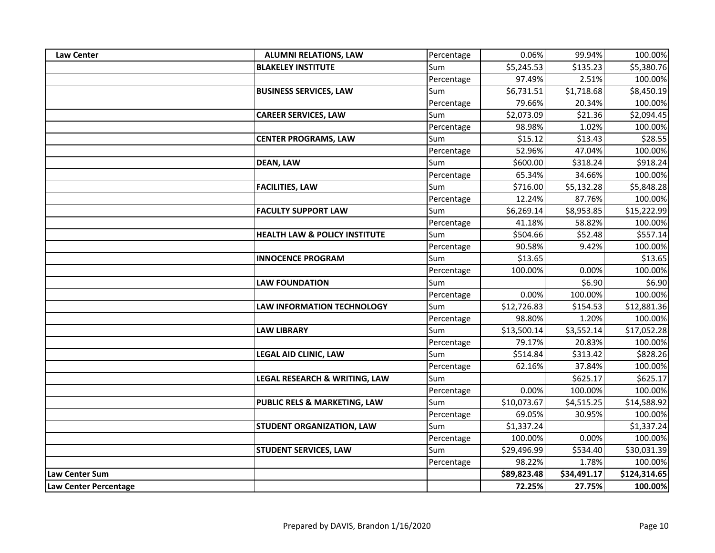| <b>Law Center</b>     | <b>ALUMNI RELATIONS, LAW</b>             | Percentage | 0.06%       | 99.94%      | 100.00%      |
|-----------------------|------------------------------------------|------------|-------------|-------------|--------------|
|                       | <b>BLAKELEY INSTITUTE</b>                | Sum        | \$5,245.53  | \$135.23    | \$5,380.76   |
|                       |                                          | Percentage | 97.49%      | 2.51%       | 100.00%      |
|                       | <b>BUSINESS SERVICES, LAW</b>            | Sum        | \$6,731.51  | \$1,718.68  | \$8,450.19   |
|                       |                                          | Percentage | 79.66%      | 20.34%      | 100.00%      |
|                       | <b>CAREER SERVICES, LAW</b>              | Sum        | \$2,073.09  | \$21.36     | \$2,094.45   |
|                       |                                          | Percentage | 98.98%      | 1.02%       | 100.00%      |
|                       | <b>CENTER PROGRAMS, LAW</b>              | Sum        | \$15.12     | \$13.43     | \$28.55      |
|                       |                                          | Percentage | 52.96%      | 47.04%      | 100.00%      |
|                       | <b>DEAN, LAW</b>                         | Sum        | \$600.00    | \$318.24    | \$918.24     |
|                       |                                          | Percentage | 65.34%      | 34.66%      | 100.00%      |
|                       | <b>FACILITIES, LAW</b>                   | Sum        | \$716.00    | \$5,132.28  | \$5,848.28   |
|                       |                                          | Percentage | 12.24%      | 87.76%      | 100.00%      |
|                       | <b>FACULTY SUPPORT LAW</b>               | Sum        | \$6,269.14  | \$8,953.85  | \$15,222.99  |
|                       |                                          | Percentage | 41.18%      | 58.82%      | 100.00%      |
|                       | <b>HEALTH LAW &amp; POLICY INSTITUTE</b> | Sum        | \$504.66    | \$52.48     | \$557.14     |
|                       |                                          | Percentage | 90.58%      | 9.42%       | 100.00%      |
|                       | <b>INNOCENCE PROGRAM</b>                 | Sum        | \$13.65     |             | \$13.65      |
|                       |                                          | Percentage | 100.00%     | 0.00%       | 100.00%      |
|                       | <b>LAW FOUNDATION</b>                    | Sum        |             | \$6.90      | \$6.90       |
|                       |                                          | Percentage | 0.00%       | 100.00%     | 100.00%      |
|                       | <b>LAW INFORMATION TECHNOLOGY</b>        | Sum        | \$12,726.83 | \$154.53    | \$12,881.36  |
|                       |                                          | Percentage | 98.80%      | 1.20%       | 100.00%      |
|                       | <b>LAW LIBRARY</b>                       | Sum        | \$13,500.14 | \$3,552.14  | \$17,052.28  |
|                       |                                          | Percentage | 79.17%      | 20.83%      | 100.00%      |
|                       | <b>LEGAL AID CLINIC, LAW</b>             | Sum        | \$514.84    | \$313.42    | \$828.26     |
|                       |                                          | Percentage | 62.16%      | 37.84%      | 100.00%      |
|                       | LEGAL RESEARCH & WRITING, LAW            | Sum        |             | \$625.17    | \$625.17     |
|                       |                                          | Percentage | 0.00%       | 100.00%     | 100.00%      |
|                       | PUBLIC RELS & MARKETING, LAW             | Sum        | \$10,073.67 | \$4,515.25  | \$14,588.92  |
|                       |                                          | Percentage | 69.05%      | 30.95%      | 100.00%      |
|                       | <b>STUDENT ORGANIZATION, LAW</b>         | Sum        | \$1,337.24  |             | \$1,337.24   |
|                       |                                          | Percentage | 100.00%     | 0.00%       | 100.00%      |
|                       | <b>STUDENT SERVICES, LAW</b>             | Sum        | \$29,496.99 | \$534.40    | \$30,031.39  |
|                       |                                          | Percentage | 98.22%      | 1.78%       | 100.00%      |
| <b>Law Center Sum</b> |                                          |            | \$89,823.48 | \$34,491.17 | \$124,314.65 |
| Law Center Percentage |                                          |            | 72.25%      | 27.75%      | 100.00%      |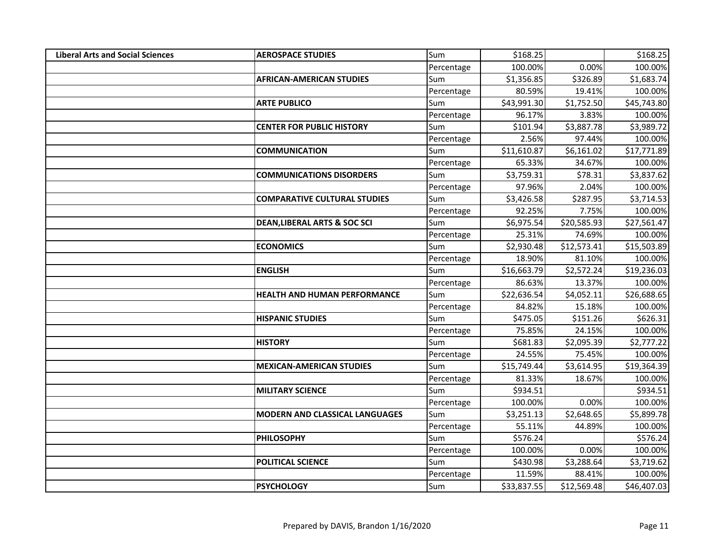| <b>Liberal Arts and Social Sciences</b> | <b>AEROSPACE STUDIES</b>                | Sum        | \$168.25    |             | \$168.25    |
|-----------------------------------------|-----------------------------------------|------------|-------------|-------------|-------------|
|                                         |                                         | Percentage | 100.00%     | 0.00%       | 100.00%     |
|                                         | <b>AFRICAN-AMERICAN STUDIES</b>         | Sum        | \$1,356.85  | \$326.89    | \$1,683.74  |
|                                         |                                         | Percentage | 80.59%      | 19.41%      | 100.00%     |
|                                         | <b>ARTE PUBLICO</b>                     | Sum        | \$43,991.30 | \$1,752.50  | \$45,743.80 |
|                                         |                                         | Percentage | 96.17%      | 3.83%       | 100.00%     |
|                                         | <b>CENTER FOR PUBLIC HISTORY</b>        | Sum        | \$101.94    | \$3,887.78  | \$3,989.72  |
|                                         |                                         | Percentage | 2.56%       | 97.44%      | 100.00%     |
|                                         | <b>COMMUNICATION</b>                    | Sum        | \$11,610.87 | \$6,161.02  | \$17,771.89 |
|                                         |                                         | Percentage | 65.33%      | 34.67%      | 100.00%     |
|                                         | <b>COMMUNICATIONS DISORDERS</b>         | Sum        | \$3,759.31  | \$78.31     | \$3,837.62  |
|                                         |                                         | Percentage | 97.96%      | 2.04%       | 100.00%     |
|                                         | <b>COMPARATIVE CULTURAL STUDIES</b>     | Sum        | \$3,426.58  | \$287.95    | \$3,714.53  |
|                                         |                                         | Percentage | 92.25%      | 7.75%       | 100.00%     |
|                                         | <b>DEAN, LIBERAL ARTS &amp; SOC SCI</b> | Sum        | \$6,975.54  | \$20,585.93 | \$27,561.47 |
|                                         |                                         | Percentage | 25.31%      | 74.69%      | 100.00%     |
|                                         | <b>ECONOMICS</b>                        | Sum        | \$2,930.48  | \$12,573.41 | \$15,503.89 |
|                                         |                                         | Percentage | 18.90%      | 81.10%      | 100.00%     |
|                                         | <b>ENGLISH</b>                          | Sum        | \$16,663.79 | \$2,572.24  | \$19,236.03 |
|                                         |                                         | Percentage | 86.63%      | 13.37%      | 100.00%     |
|                                         | HEALTH AND HUMAN PERFORMANCE            | Sum        | \$22,636.54 | \$4,052.11  | \$26,688.65 |
|                                         |                                         | Percentage | 84.82%      | 15.18%      | 100.00%     |
|                                         | <b>HISPANIC STUDIES</b>                 | Sum        | \$475.05    | \$151.26    | \$626.31    |
|                                         |                                         | Percentage | 75.85%      | 24.15%      | 100.00%     |
|                                         | <b>HISTORY</b>                          | Sum        | \$681.83    | \$2,095.39  | \$2,777.22  |
|                                         |                                         | Percentage | 24.55%      | 75.45%      | 100.00%     |
|                                         | <b>MEXICAN-AMERICAN STUDIES</b>         | Sum        | \$15,749.44 | \$3,614.95  | \$19,364.39 |
|                                         |                                         | Percentage | 81.33%      | 18.67%      | 100.00%     |
|                                         | <b>MILITARY SCIENCE</b>                 | Sum        | \$934.51    |             | \$934.51    |
|                                         |                                         | Percentage | 100.00%     | 0.00%       | 100.00%     |
|                                         | <b>MODERN AND CLASSICAL LANGUAGES</b>   | Sum        | \$3,251.13  | \$2,648.65  | \$5,899.78  |
|                                         |                                         | Percentage | 55.11%      | 44.89%      | 100.00%     |
|                                         | <b>PHILOSOPHY</b>                       | Sum        | \$576.24    |             | \$576.24    |
|                                         |                                         | Percentage | 100.00%     | 0.00%       | 100.00%     |
|                                         | <b>POLITICAL SCIENCE</b>                | Sum        | \$430.98    | \$3,288.64  | \$3,719.62  |
|                                         |                                         | Percentage | 11.59%      | 88.41%      | 100.00%     |
|                                         | <b>PSYCHOLOGY</b>                       | Sum        | \$33,837.55 | \$12,569.48 | \$46,407.03 |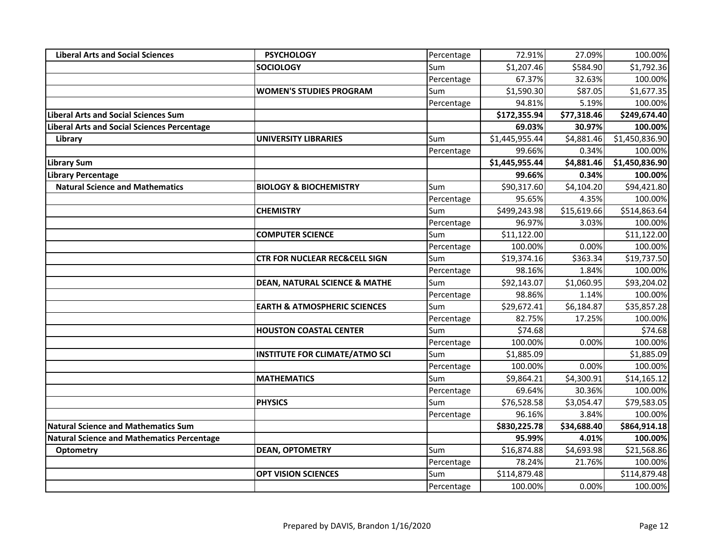| <b>Liberal Arts and Social Sciences</b>           | <b>PSYCHOLOGY</b>                        | Percentage | 72.91%         | 27.09%      | 100.00%        |
|---------------------------------------------------|------------------------------------------|------------|----------------|-------------|----------------|
|                                                   | <b>SOCIOLOGY</b>                         | Sum        | \$1,207.46     | \$584.90    | \$1,792.36     |
|                                                   |                                          | Percentage | 67.37%         | 32.63%      | 100.00%        |
|                                                   | <b>WOMEN'S STUDIES PROGRAM</b>           | Sum        | \$1,590.30     | \$87.05     | \$1,677.35     |
|                                                   |                                          | Percentage | 94.81%         | 5.19%       | 100.00%        |
| <b>Liberal Arts and Social Sciences Sum</b>       |                                          |            | \$172,355.94   | \$77,318.46 | \$249,674.40   |
| Liberal Arts and Social Sciences Percentage       |                                          |            | 69.03%         | 30.97%      | 100.00%        |
| Library                                           | <b>UNIVERSITY LIBRARIES</b>              | Sum        | \$1,445,955.44 | \$4,881.46  | \$1,450,836.90 |
|                                                   |                                          | Percentage | 99.66%         | 0.34%       | 100.00%        |
| <b>Library Sum</b>                                |                                          |            | \$1,445,955.44 | \$4,881.46  | \$1,450,836.90 |
| Library Percentage                                |                                          |            | 99.66%         | 0.34%       | 100.00%        |
| <b>Natural Science and Mathematics</b>            | <b>BIOLOGY &amp; BIOCHEMISTRY</b>        | Sum        | \$90,317.60    | \$4,104.20  | \$94,421.80    |
|                                                   |                                          | Percentage | 95.65%         | 4.35%       | 100.00%        |
|                                                   | <b>CHEMISTRY</b>                         | Sum        | \$499,243.98   | \$15,619.66 | \$514,863.64   |
|                                                   |                                          | Percentage | 96.97%         | 3.03%       | 100.00%        |
|                                                   | <b>COMPUTER SCIENCE</b>                  | Sum        | \$11,122.00    |             | \$11,122.00    |
|                                                   |                                          | Percentage | 100.00%        | 0.00%       | 100.00%        |
|                                                   | <b>CTR FOR NUCLEAR REC&amp;CELL SIGN</b> | Sum        | \$19,374.16    | \$363.34    | \$19,737.50    |
|                                                   |                                          | Percentage | 98.16%         | 1.84%       | 100.00%        |
|                                                   | <b>DEAN, NATURAL SCIENCE &amp; MATHE</b> | Sum        | \$92,143.07    | \$1,060.95  | \$93,204.02    |
|                                                   |                                          | Percentage | 98.86%         | 1.14%       | 100.00%        |
|                                                   | <b>EARTH &amp; ATMOSPHERIC SCIENCES</b>  | Sum        | \$29,672.41    | \$6,184.87  | \$35,857.28    |
|                                                   |                                          | Percentage | 82.75%         | 17.25%      | 100.00%        |
|                                                   | <b>HOUSTON COASTAL CENTER</b>            | Sum        | \$74.68        |             | \$74.68        |
|                                                   |                                          | Percentage | 100.00%        | 0.00%       | 100.00%        |
|                                                   | <b>INSTITUTE FOR CLIMATE/ATMO SCI</b>    | Sum        | \$1,885.09     |             | \$1,885.09     |
|                                                   |                                          | Percentage | 100.00%        | 0.00%       | 100.00%        |
|                                                   | <b>MATHEMATICS</b>                       | Sum        | \$9,864.21     | \$4,300.91  | \$14,165.12    |
|                                                   |                                          | Percentage | 69.64%         | 30.36%      | 100.00%        |
|                                                   | <b>PHYSICS</b>                           | Sum        | \$76,528.58    | \$3,054.47  | \$79,583.05    |
|                                                   |                                          | Percentage | 96.16%         | 3.84%       | 100.00%        |
| <b>Natural Science and Mathematics Sum</b>        |                                          |            | \$830,225.78   | \$34,688.40 | \$864,914.18   |
| <b>Natural Science and Mathematics Percentage</b> |                                          |            | 95.99%         | 4.01%       | 100.00%        |
| <b>Optometry</b>                                  | <b>DEAN, OPTOMETRY</b>                   | Sum        | \$16,874.88    | \$4,693.98  | \$21,568.86    |
|                                                   |                                          | Percentage | 78.24%         | 21.76%      | 100.00%        |
|                                                   | <b>OPT VISION SCIENCES</b>               | Sum        | \$114,879.48   |             | \$114,879.48   |
|                                                   |                                          | Percentage | 100.00%        | 0.00%       | 100.00%        |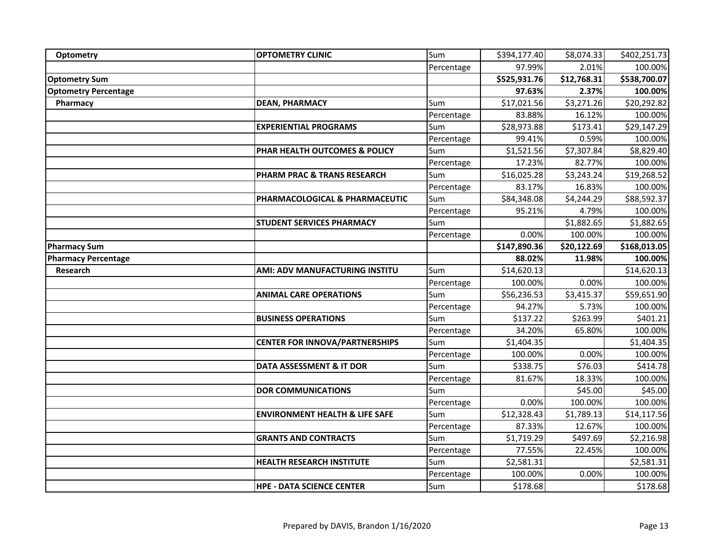| Optometry                   | <b>OPTOMETRY CLINIC</b>                   | Sum        | \$394,177.40 | \$8,074.33  | \$402,251.73 |
|-----------------------------|-------------------------------------------|------------|--------------|-------------|--------------|
|                             |                                           | Percentage | 97.99%       | 2.01%       | 100.00%      |
| <b>Optometry Sum</b>        |                                           |            | \$525,931.76 | \$12,768.31 | \$538,700.07 |
| <b>Optometry Percentage</b> |                                           |            | 97.63%       | 2.37%       | 100.00%      |
| Pharmacy                    | <b>DEAN, PHARMACY</b>                     | Sum        | \$17,021.56  | \$3,271.26  | \$20,292.82  |
|                             |                                           | Percentage | 83.88%       | 16.12%      | 100.00%      |
|                             | <b>EXPERIENTIAL PROGRAMS</b>              | Sum        | \$28,973.88  | \$173.41    | \$29,147.29  |
|                             |                                           | Percentage | 99.41%       | 0.59%       | 100.00%      |
|                             | PHAR HEALTH OUTCOMES & POLICY             | Sum        | \$1,521.56   | \$7,307.84  | \$8,829.40   |
|                             |                                           | Percentage | 17.23%       | 82.77%      | 100.00%      |
|                             | PHARM PRAC & TRANS RESEARCH               | Sum        | \$16,025.28  | \$3,243.24  | \$19,268.52  |
|                             |                                           | Percentage | 83.17%       | 16.83%      | 100.00%      |
|                             | PHARMACOLOGICAL & PHARMACEUTIC            | Sum        | \$84,348.08  | \$4,244.29  | \$88,592.37  |
|                             |                                           | Percentage | 95.21%       | 4.79%       | 100.00%      |
|                             | <b>STUDENT SERVICES PHARMACY</b>          | Sum        |              | \$1,882.65  | \$1,882.65   |
|                             |                                           | Percentage | 0.00%        | 100.00%     | 100.00%      |
| <b>Pharmacy Sum</b>         |                                           |            | \$147,890.36 | \$20,122.69 | \$168,013.05 |
| <b>Pharmacy Percentage</b>  |                                           |            | 88.02%       | 11.98%      | 100.00%      |
| <b>Research</b>             | AMI: ADV MANUFACTURING INSTITU            | Sum        | \$14,620.13  |             | \$14,620.13  |
|                             |                                           | Percentage | 100.00%      | 0.00%       | 100.00%      |
|                             | <b>ANIMAL CARE OPERATIONS</b>             | Sum        | \$56,236.53  | \$3,415.37  | \$59,651.90  |
|                             |                                           | Percentage | 94.27%       | 5.73%       | 100.00%      |
|                             | <b>BUSINESS OPERATIONS</b>                | Sum        | \$137.22     | \$263.99    | \$401.21     |
|                             |                                           | Percentage | 34.20%       | 65.80%      | 100.00%      |
|                             | <b>CENTER FOR INNOVA/PARTNERSHIPS</b>     | Sum        | \$1,404.35   |             | \$1,404.35   |
|                             |                                           | Percentage | 100.00%      | 0.00%       | 100.00%      |
|                             | <b>DATA ASSESSMENT &amp; IT DOR</b>       | Sum        | \$338.75     | \$76.03     | \$414.78     |
|                             |                                           | Percentage | 81.67%       | 18.33%      | 100.00%      |
|                             | <b>DOR COMMUNICATIONS</b>                 | Sum        |              | \$45.00     | \$45.00      |
|                             |                                           | Percentage | 0.00%        | 100.00%     | 100.00%      |
|                             | <b>ENVIRONMENT HEALTH &amp; LIFE SAFE</b> | Sum        | \$12,328.43  | \$1,789.13  | \$14,117.56  |
|                             |                                           | Percentage | 87.33%       | 12.67%      | 100.00%      |
|                             | <b>GRANTS AND CONTRACTS</b>               | Sum        | \$1,719.29   | \$497.69    | \$2,216.98   |
|                             |                                           | Percentage | 77.55%       | 22.45%      | 100.00%      |
|                             | <b>HEALTH RESEARCH INSTITUTE</b>          | Sum        | \$2,581.31   |             | \$2,581.31   |
|                             |                                           | Percentage | 100.00%      | 0.00%       | 100.00%      |
|                             | <b>HPE - DATA SCIENCE CENTER</b>          | Sum        | \$178.68     |             | \$178.68     |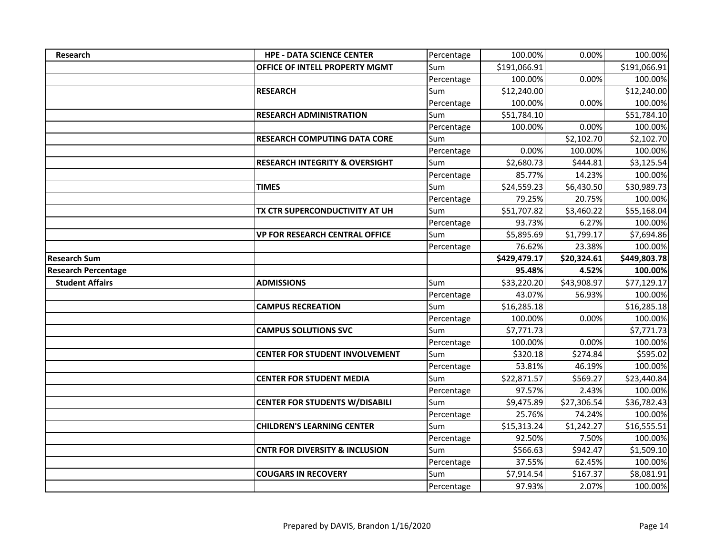| <b>Research</b>            | <b>HPE - DATA SCIENCE CENTER</b>          | Percentage | 100.00%                 | 0.00%             | 100.00%               |
|----------------------------|-------------------------------------------|------------|-------------------------|-------------------|-----------------------|
|                            | OFFICE OF INTELL PROPERTY MGMT            | Sum        | \$191,066.91            |                   | \$191,066.91          |
|                            |                                           | Percentage | 100.00%                 | 0.00%             | 100.00%               |
|                            | <b>RESEARCH</b>                           | Sum        | \$12,240.00             |                   | \$12,240.00           |
|                            |                                           | Percentage | 100.00%                 | 0.00%             | 100.00%               |
|                            | <b>RESEARCH ADMINISTRATION</b>            | Sum        | $\overline{$}51,784.10$ |                   | \$51,784.10           |
|                            |                                           | Percentage | 100.00%                 | 0.00%             | 100.00%               |
|                            | <b>RESEARCH COMPUTING DATA CORE</b>       | Sum        |                         | \$2,102.70        | \$2,102.70            |
|                            |                                           | Percentage | 0.00%                   | 100.00%           | 100.00%               |
|                            | <b>RESEARCH INTEGRITY &amp; OVERSIGHT</b> | Sum        | \$2,680.73              | \$444.81          | \$3,125.54            |
|                            |                                           | Percentage | 85.77%                  | 14.23%            | 100.00%               |
|                            | <b>TIMES</b>                              | Sum        | \$24,559.23             | \$6,430.50        | \$30,989.73           |
|                            |                                           | Percentage | 79.25%                  | 20.75%            | 100.00%               |
|                            | TX CTR SUPERCONDUCTIVITY AT UH            | Sum        | \$51,707.82             | \$3,460.22        | \$55,168.04           |
|                            |                                           | Percentage | 93.73%                  | 6.27%             | 100.00%               |
|                            | <b>VP FOR RESEARCH CENTRAL OFFICE</b>     | Sum        | \$5,895.69              | \$1,799.17        | \$7,694.86            |
|                            |                                           | Percentage | 76.62%                  | 23.38%            | 100.00%               |
| <b>Research Sum</b>        |                                           |            | \$429,479.17            | \$20,324.61       | \$449,803.78          |
|                            |                                           |            |                         |                   |                       |
| <b>Research Percentage</b> |                                           |            | 95.48%                  | 4.52%             | 100.00%               |
| <b>Student Affairs</b>     | <b>ADMISSIONS</b>                         | Sum        | \$33,220.20             | \$43,908.97       | \$77,129.17           |
|                            |                                           | Percentage | 43.07%                  | 56.93%            | 100.00%               |
|                            | <b>CAMPUS RECREATION</b>                  | Sum        | \$16,285.18             |                   | \$16,285.18           |
|                            |                                           | Percentage | 100.00%                 | 0.00%             | 100.00%               |
|                            | <b>CAMPUS SOLUTIONS SVC</b>               | Sum        | \$7,771.73              |                   | \$7,771.73            |
|                            |                                           | Percentage | 100.00%                 | 0.00%             | 100.00%               |
|                            | <b>CENTER FOR STUDENT INVOLVEMENT</b>     | Sum        | \$320.18                | \$274.84          | \$595.02              |
|                            |                                           | Percentage | 53.81%                  | 46.19%            | 100.00%               |
|                            | <b>CENTER FOR STUDENT MEDIA</b>           | Sum        | \$22,871.57             | \$569.27          | \$23,440.84           |
|                            |                                           | Percentage | 97.57%                  | 2.43%             | 100.00%               |
|                            | <b>CENTER FOR STUDENTS W/DISABILI</b>     | Sum        | \$9,475.89              | \$27,306.54       | \$36,782.43           |
|                            |                                           | Percentage | 25.76%                  | 74.24%            | 100.00%               |
|                            | <b>CHILDREN'S LEARNING CENTER</b>         | Sum        | \$15,313.24             | \$1,242.27        | \$16,555.51           |
|                            |                                           | Percentage | 92.50%                  | 7.50%             | 100.00%               |
|                            | <b>CNTR FOR DIVERSITY &amp; INCLUSION</b> | Sum        | \$566.63                | \$942.47          | \$1,509.10            |
|                            |                                           | Percentage | 37.55%                  | 62.45%            | 100.00%               |
|                            | <b>COUGARS IN RECOVERY</b>                | Sum        | \$7,914.54<br>97.93%    | \$167.37<br>2.07% | \$8,081.91<br>100.00% |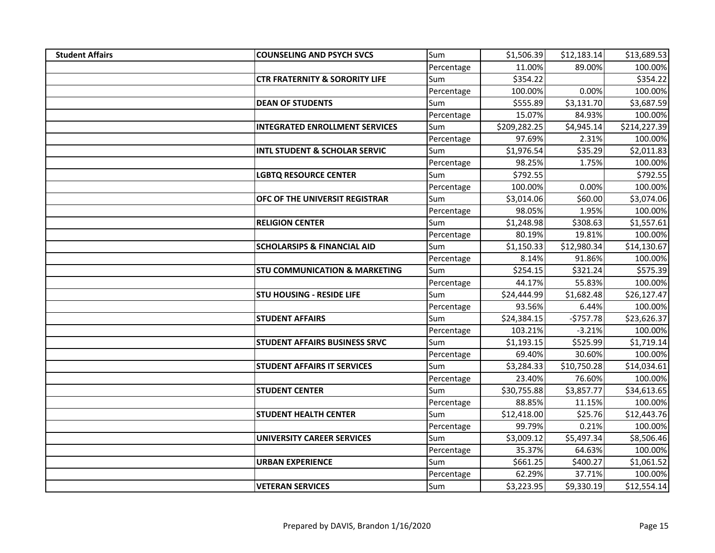| <b>Student Affairs</b> | <b>COUNSELING AND PSYCH SVCS</b>          | Sum        | \$1,506.39   | \$12,183.14 | \$13,689.53  |
|------------------------|-------------------------------------------|------------|--------------|-------------|--------------|
|                        |                                           | Percentage | 11.00%       | 89.00%      | 100.00%      |
|                        | <b>CTR FRATERNITY &amp; SORORITY LIFE</b> | Sum        | \$354.22     |             | \$354.22     |
|                        |                                           | Percentage | 100.00%      | 0.00%       | 100.00%      |
|                        | <b>DEAN OF STUDENTS</b>                   | Sum        | \$555.89     | \$3,131.70  | \$3,687.59   |
|                        |                                           | Percentage | 15.07%       | 84.93%      | 100.00%      |
|                        | <b>INTEGRATED ENROLLMENT SERVICES</b>     | Sum        | \$209,282.25 | \$4,945.14  | \$214,227.39 |
|                        |                                           | Percentage | 97.69%       | 2.31%       | 100.00%      |
|                        | <b>INTL STUDENT &amp; SCHOLAR SERVIC</b>  | Sum        | \$1,976.54   | \$35.29     | \$2,011.83   |
|                        |                                           | Percentage | 98.25%       | 1.75%       | 100.00%      |
|                        | <b>LGBTQ RESOURCE CENTER</b>              | Sum        | \$792.55     |             | \$792.55     |
|                        |                                           | Percentage | 100.00%      | 0.00%       | 100.00%      |
|                        | OFC OF THE UNIVERSIT REGISTRAR            | Sum        | \$3,014.06   | \$60.00     | \$3,074.06   |
|                        |                                           | Percentage | 98.05%       | 1.95%       | 100.00%      |
|                        | <b>RELIGION CENTER</b>                    | Sum        | \$1,248.98   | \$308.63    | \$1,557.61   |
|                        |                                           | Percentage | 80.19%       | 19.81%      | 100.00%      |
|                        | <b>SCHOLARSIPS &amp; FINANCIAL AID</b>    | Sum        | \$1,150.33   | \$12,980.34 | \$14,130.67  |
|                        |                                           | Percentage | 8.14%        | 91.86%      | 100.00%      |
|                        | <b>STU COMMUNICATION &amp; MARKETING</b>  | Sum        | \$254.15     | \$321.24    | \$575.39     |
|                        |                                           | Percentage | 44.17%       | 55.83%      | 100.00%      |
|                        | <b>STU HOUSING - RESIDE LIFE</b>          | Sum        | \$24,444.99  | \$1,682.48  | \$26,127.47  |
|                        |                                           | Percentage | 93.56%       | 6.44%       | 100.00%      |
|                        | <b>STUDENT AFFAIRS</b>                    | Sum        | \$24,384.15  | $-5757.78$  | \$23,626.37  |
|                        |                                           | Percentage | 103.21%      | $-3.21%$    | 100.00%      |
|                        | <b>STUDENT AFFAIRS BUSINESS SRVC</b>      | Sum        | \$1,193.15   | \$525.99    | \$1,719.14   |
|                        |                                           | Percentage | 69.40%       | 30.60%      | 100.00%      |
|                        | <b>STUDENT AFFAIRS IT SERVICES</b>        | Sum        | \$3,284.33   | \$10,750.28 | \$14,034.61  |
|                        |                                           | Percentage | 23.40%       | 76.60%      | 100.00%      |
|                        | <b>STUDENT CENTER</b>                     | Sum        | \$30,755.88  | \$3,857.77  | \$34,613.65  |
|                        |                                           | Percentage | 88.85%       | 11.15%      | 100.00%      |
|                        | <b>STUDENT HEALTH CENTER</b>              | Sum        | \$12,418.00  | \$25.76     | \$12,443.76  |
|                        |                                           | Percentage | 99.79%       | 0.21%       | 100.00%      |
|                        | <b>UNIVERSITY CAREER SERVICES</b>         | Sum        | \$3,009.12   | \$5,497.34  | \$8,506.46   |
|                        |                                           | Percentage | 35.37%       | 64.63%      | 100.00%      |
|                        | <b>URBAN EXPERIENCE</b>                   | Sum        | \$661.25     | \$400.27    | \$1,061.52   |
|                        |                                           | Percentage | 62.29%       | 37.71%      | 100.00%      |
|                        | <b>VETERAN SERVICES</b>                   | Sum        | \$3,223.95   | \$9,330.19  | \$12,554.14  |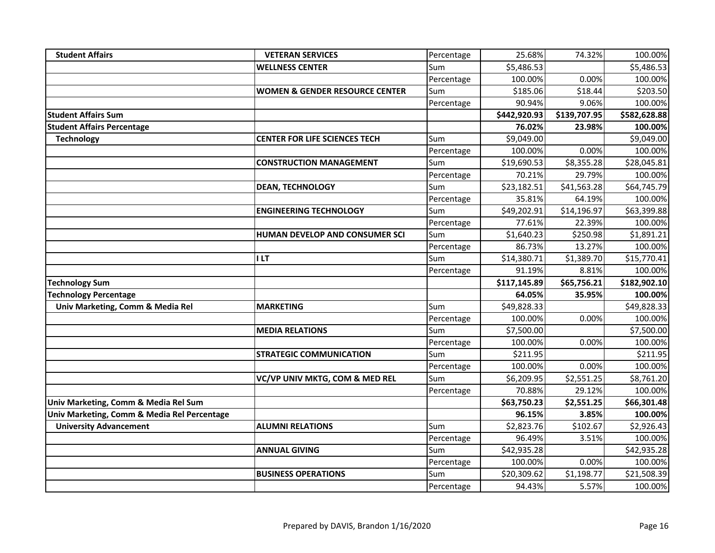| <b>Student Affairs</b>                      | <b>VETERAN SERVICES</b>                   | Percentage | 25.68%                | 74.32%              | 100.00%                |
|---------------------------------------------|-------------------------------------------|------------|-----------------------|---------------------|------------------------|
|                                             | <b>WELLNESS CENTER</b>                    | Sum        | \$5,486.53            |                     | \$5,486.53             |
|                                             |                                           | Percentage | 100.00%               | 0.00%               | 100.00%                |
|                                             | <b>WOMEN &amp; GENDER RESOURCE CENTER</b> | Sum        | \$185.06              | \$18.44             | \$203.50               |
|                                             |                                           | Percentage | 90.94%                | 9.06%               | 100.00%                |
| <b>Student Affairs Sum</b>                  |                                           |            | \$442,920.93          | \$139,707.95        | \$582,628.88           |
| <b>Student Affairs Percentage</b>           |                                           |            | 76.02%                | 23.98%              | 100.00%                |
| <b>Technology</b>                           | <b>CENTER FOR LIFE SCIENCES TECH</b>      | Sum        | \$9,049.00            |                     | \$9,049.00             |
|                                             |                                           | Percentage | 100.00%               | 0.00%               | 100.00%                |
|                                             | <b>CONSTRUCTION MANAGEMENT</b>            | Sum        | \$19,690.53           | \$8,355.28          | \$28,045.81            |
|                                             |                                           | Percentage | 70.21%                | 29.79%              | 100.00%                |
|                                             | <b>DEAN, TECHNOLOGY</b>                   | Sum        | \$23,182.51           | \$41,563.28         | \$64,745.79            |
|                                             |                                           | Percentage | 35.81%                | 64.19%              | 100.00%                |
|                                             | <b>ENGINEERING TECHNOLOGY</b>             | Sum        | \$49,202.91           | \$14,196.97         | \$63,399.88            |
|                                             |                                           | Percentage | 77.61%                | 22.39%              | 100.00%                |
|                                             | HUMAN DEVELOP AND CONSUMER SCI            | Sum        | \$1,640.23            | \$250.98            | \$1,891.21             |
|                                             |                                           | Percentage | 86.73%                | 13.27%              | 100.00%                |
|                                             | I LT                                      | Sum        | \$14,380.71           | \$1,389.70          | \$15,770.41            |
|                                             |                                           | Percentage | 91.19%                | 8.81%               | 100.00%                |
| <b>Technology Sum</b>                       |                                           |            | \$117,145.89          | \$65,756.21         | \$182,902.10           |
| <b>Technology Percentage</b>                |                                           |            | 64.05%                | 35.95%              | 100.00%                |
| Univ Marketing, Comm & Media Rel            | <b>MARKETING</b>                          | Sum        | \$49,828.33           |                     | \$49,828.33            |
|                                             |                                           | Percentage | 100.00%               | 0.00%               | 100.00%                |
|                                             | <b>MEDIA RELATIONS</b>                    | Sum        | \$7,500.00            |                     | \$7,500.00             |
|                                             |                                           | Percentage | 100.00%               | 0.00%               | 100.00%                |
|                                             | <b>STRATEGIC COMMUNICATION</b>            | Sum        | \$211.95              |                     | \$211.95               |
|                                             |                                           | Percentage | 100.00%               | 0.00%               | 100.00%                |
|                                             | VC/VP UNIV MKTG, COM & MED REL            | Sum        | \$6,209.95            | \$2,551.25          | \$8,761.20             |
|                                             |                                           | Percentage | 70.88%                | 29.12%              | 100.00%                |
| Univ Marketing, Comm & Media Rel Sum        |                                           |            | \$63,750.23           | \$2,551.25          | \$66,301.48            |
| Univ Marketing, Comm & Media Rel Percentage |                                           |            | 96.15%                | 3.85%               | 100.00%                |
| <b>University Advancement</b>               | <b>ALUMNI RELATIONS</b>                   | Sum        | \$2,823.76            | \$102.67            | \$2,926.43             |
|                                             |                                           | Percentage | 96.49%                | 3.51%               | 100.00%                |
|                                             | <b>ANNUAL GIVING</b>                      | Sum        | \$42,935.28           |                     | \$42,935.28            |
|                                             |                                           | Percentage | 100.00%               | 0.00%               | 100.00%                |
|                                             |                                           |            |                       |                     |                        |
|                                             | <b>BUSINESS OPERATIONS</b>                | Sum        | \$20,309.62<br>94.43% | \$1,198.77<br>5.57% | \$21,508.39<br>100.00% |